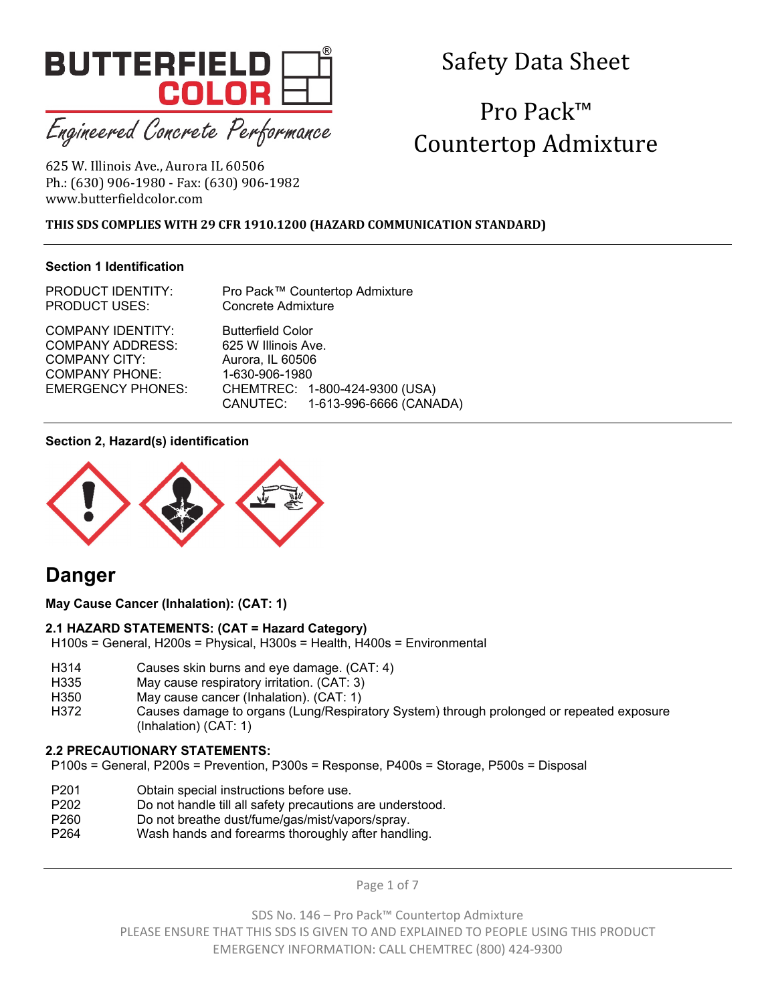

Engineered Concrete Performance

# Safety Data Sheet

# Pro Pack™ Countertop Admixture

625 W. Illinois Ave., Aurora IL 60506 Ph.: (630) 906-1980 - Fax: (630) 906-1982 www.butterfieldcolor.com 

### **THIS SDS COMPLIES WITH 29 CFR 1910.1200 (HAZARD COMMUNICATION STANDARD)**

#### **Section 1 Identification**

PRODUCT IDENTITY: Pro Pack™ Countertop Admixture PRODUCT USES: Concrete Admixture

COMPANY ADDRESS: 625 W Illinois Ave. COMPANY CITY: Aurora, IL 60506 COMPANY PHONE: 1-630-906-1980

COMPANY IDENTITY: Butterfield Color EMERGENCY PHONES: CHEMTREC: 1-800-424-9300 (USA) CANUTEC: 1-613-996-6666 (CANADA)

#### **Section 2, Hazard(s) identification**



# **Danger**

**May Cause Cancer (Inhalation): (CAT: 1)**

#### **2.1 HAZARD STATEMENTS: (CAT = Hazard Category)**

H100s = General, H200s = Physical, H300s = Health, H400s = Environmental

- H314 Causes skin burns and eye damage. (CAT: 4)
- H335 May cause respiratory irritation. (CAT: 3)
- H350 May cause cancer (Inhalation). (CAT: 1)
- H372 Causes damage to organs (Lung/Respiratory System) through prolonged or repeated exposure (Inhalation) (CAT: 1)

# **2.2 PRECAUTIONARY STATEMENTS:**

P100s = General, P200s = Prevention, P300s = Response, P400s = Storage, P500s = Disposal

- P201 Obtain special instructions before use.
- P202 Do not handle till all safety precautions are understood.
- P260 Do not breathe dust/fume/gas/mist/vapors/spray.
- P264 Wash hands and forearms thoroughly after handling.

Page 1 of 7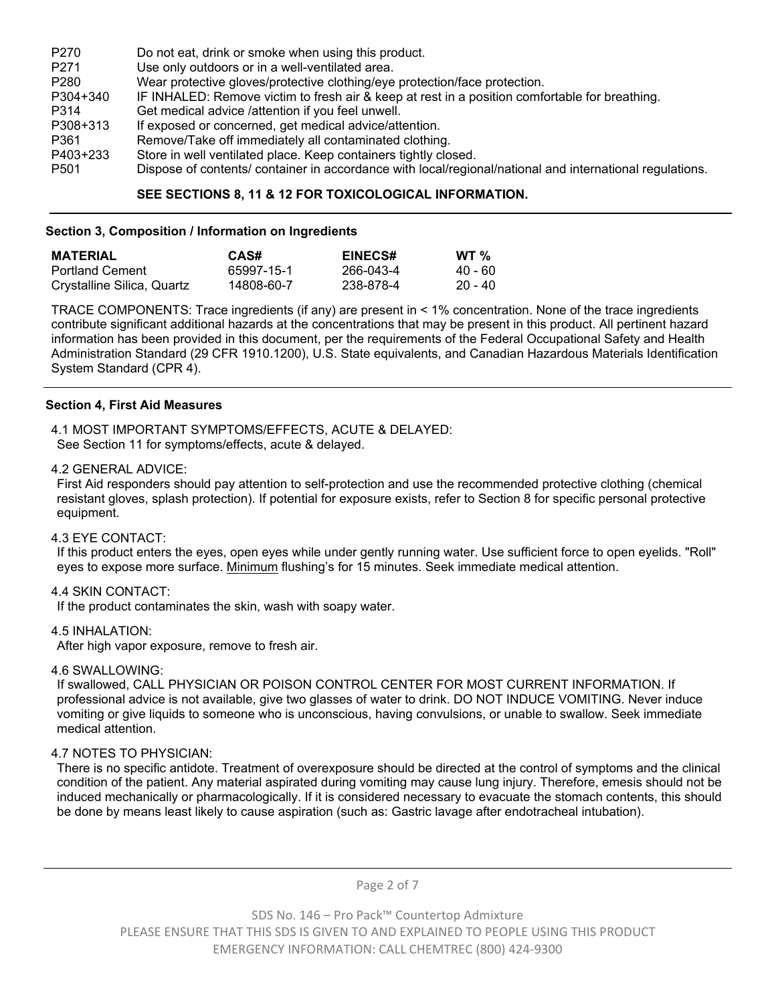| P <sub>270</sub> | Do not eat, drink or smoke when using this product.                                                      |
|------------------|----------------------------------------------------------------------------------------------------------|
| P <sub>271</sub> | Use only outdoors or in a well-ventilated area.                                                          |
| P <sub>280</sub> | Wear protective gloves/protective clothing/eye protection/face protection.                               |
| P304+340         | IF INHALED: Remove victim to fresh air & keep at rest in a position comfortable for breathing.           |
| P314             | Get medical advice /attention if you feel unwell.                                                        |
| P308+313         | If exposed or concerned, get medical advice/attention.                                                   |
| P361             | Remove/Take off immediately all contaminated clothing.                                                   |
| P403+233         | Store in well ventilated place. Keep containers tightly closed.                                          |
| P <sub>501</sub> | Dispose of contents/ container in accordance with local/regional/national and international regulations. |

#### **SEE SECTIONS 8, 11 & 12 FOR TOXICOLOGICAL INFORMATION.**

#### **Section 3, Composition / Information on Ingredients**

| <b>MATERIAL</b>            | CAS#       | <b>EINECS#</b> | WT $\%$ |
|----------------------------|------------|----------------|---------|
| <b>Portland Cement</b>     | 65997-15-1 | 266-043-4      | 40 - 60 |
| Crystalline Silica, Quartz | 14808-60-7 | 238-878-4      | 20 - 40 |

TRACE COMPONENTS: Trace ingredients (if any) are present in < 1% concentration. None of the trace ingredients contribute significant additional hazards at the concentrations that may be present in this product. All pertinent hazard information has been provided in this document, per the requirements of the Federal Occupational Safety and Health Administration Standard (29 CFR 1910.1200), U.S. State equivalents, and Canadian Hazardous Materials Identification System Standard (CPR 4).

#### **Section 4, First Aid Measures**

4.1 MOST IMPORTANT SYMPTOMS/EFFECTS, ACUTE & DELAYED: See Section 11 for symptoms/effects, acute & delayed.

#### 4.2 GENERAL ADVICE:

First Aid responders should pay attention to self-protection and use the recommended protective clothing (chemical resistant gloves, splash protection). If potential for exposure exists, refer to Section 8 for specific personal protective equipment.

#### 4.3 EYE CONTACT:

If this product enters the eyes, open eyes while under gently running water. Use sufficient force to open eyelids. "Roll" eyes to expose more surface. Minimum flushing's for 15 minutes. Seek immediate medical attention.

#### 4.4 SKIN CONTACT:

If the product contaminates the skin, wash with soapy water.

#### 4.5 INHALATION:

After high vapor exposure, remove to fresh air.

#### 4.6 SWALLOWING:

If swallowed, CALL PHYSICIAN OR POISON CONTROL CENTER FOR MOST CURRENT INFORMATION. If professional advice is not available, give two glasses of water to drink. DO NOT INDUCE VOMITING. Never induce vomiting or give liquids to someone who is unconscious, having convulsions, or unable to swallow. Seek immediate medical attention.

#### 4.7 NOTES TO PHYSICIAN:

There is no specific antidote. Treatment of overexposure should be directed at the control of symptoms and the clinical condition of the patient. Any material aspirated during vomiting may cause lung injury. Therefore, emesis should not be induced mechanically or pharmacologically. If it is considered necessary to evacuate the stomach contents, this should be done by means least likely to cause aspiration (such as: Gastric lavage after endotracheal intubation).

Page 2 of 7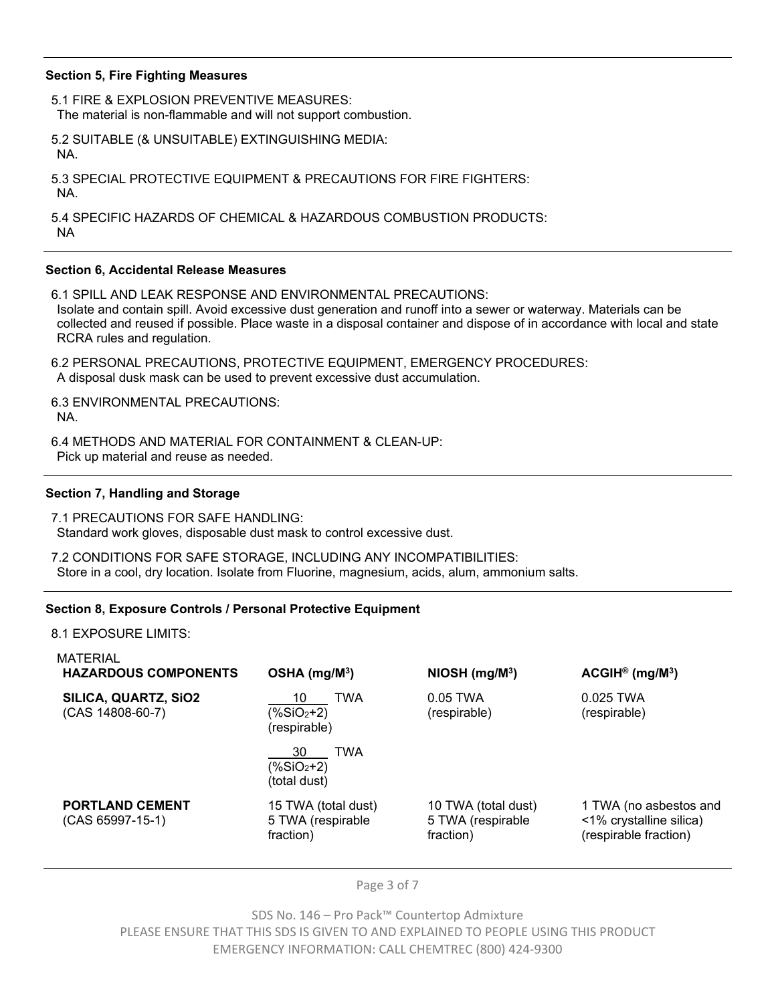#### **Section 5, Fire Fighting Measures**

5.1 FIRE & EXPLOSION PREVENTIVE MEASURES: The material is non-flammable and will not support combustion.

5.2 SUITABLE (& UNSUITABLE) EXTINGUISHING MEDIA: NA.

5.3 SPECIAL PROTECTIVE EQUIPMENT & PRECAUTIONS FOR FIRE FIGHTERS: NA.

5.4 SPECIFIC HAZARDS OF CHEMICAL & HAZARDOUS COMBUSTION PRODUCTS: NA

#### **Section 6, Accidental Release Measures**

6.1 SPILL AND LEAK RESPONSE AND ENVIRONMENTAL PRECAUTIONS: Isolate and contain spill. Avoid excessive dust generation and runoff into a sewer or waterway. Materials can be collected and reused if possible. Place waste in a disposal container and dispose of in accordance with local and state RCRA rules and regulation.

6.2 PERSONAL PRECAUTIONS, PROTECTIVE EQUIPMENT, EMERGENCY PROCEDURES: A disposal dusk mask can be used to prevent excessive dust accumulation.

6.3 ENVIRONMENTAL PRECAUTIONS: NA.

6.4 METHODS AND MATERIAL FOR CONTAINMENT & CLEAN-UP: Pick up material and reuse as needed.

#### **Section 7, Handling and Storage**

7.1 PRECAUTIONS FOR SAFE HANDLING: Standard work gloves, disposable dust mask to control excessive dust.

7.2 CONDITIONS FOR SAFE STORAGE, INCLUDING ANY INCOMPATIBILITIES: Store in a cool, dry location. Isolate from Fluorine, magnesium, acids, alum, ammonium salts.

#### **Section 8, Exposure Controls / Personal Protective Equipment**

8.1 EXPOSURE LIMITS:

| $OSHA$ (mg/M <sup>3</sup> )                           | NIOSH (mg/M <sup>3</sup> )                            | $ACGH^{\circ}$ (mg/M <sup>3</sup> )                                        |
|-------------------------------------------------------|-------------------------------------------------------|----------------------------------------------------------------------------|
| <b>TWA</b><br>10<br>$(\%SiO2+2)$<br>(respirable)      | $0.05$ TWA<br>(respirable)                            | 0.025 TWA<br>(respirable)                                                  |
| <b>TWA</b><br>30<br>$(\%SiO2+2)$<br>(total dust)      |                                                       |                                                                            |
| 15 TWA (total dust)<br>5 TWA (respirable<br>fraction) | 10 TWA (total dust)<br>5 TWA (respirable<br>fraction) | 1 TWA (no asbestos and<br><1% crystalline silica)<br>(respirable fraction) |
|                                                       |                                                       |                                                                            |

Page 3 of 7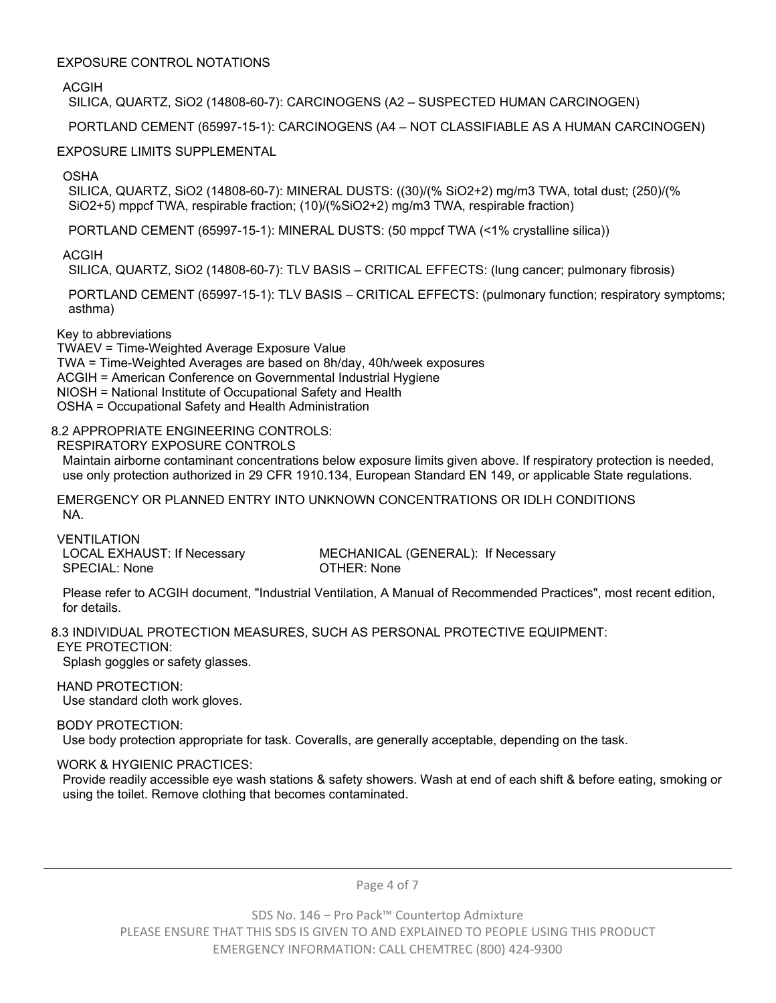#### EXPOSURE CONTROL NOTATIONS

ACGIH

SILICA, QUARTZ, SiO2 (14808-60-7): CARCINOGENS (A2 – SUSPECTED HUMAN CARCINOGEN)

PORTLAND CEMENT (65997-15-1): CARCINOGENS (A4 – NOT CLASSIFIABLE AS A HUMAN CARCINOGEN)

# EXPOSURE LIMITS SUPPLEMENTAL

OSHA

SILICA, QUARTZ, SiO2 (14808-60-7): MINERAL DUSTS: ((30)/(% SiO2+2) mg/m3 TWA, total dust; (250)/(% SiO2+5) mppcf TWA, respirable fraction; (10)/(%SiO2+2) mg/m3 TWA, respirable fraction)

PORTLAND CEMENT (65997-15-1): MINERAL DUSTS: (50 mppcf TWA (<1% crystalline silica))

ACGIH

SILICA, QUARTZ, SiO2 (14808-60-7): TLV BASIS – CRITICAL EFFECTS: (lung cancer; pulmonary fibrosis)

PORTLAND CEMENT (65997-15-1): TLV BASIS – CRITICAL EFFECTS: (pulmonary function; respiratory symptoms; asthma)

# Key to abbreviations

TWAEV = Time-Weighted Average Exposure Value TWA = Time-Weighted Averages are based on 8h/day, 40h/week exposures ACGIH = American Conference on Governmental Industrial Hygiene NIOSH = National Institute of Occupational Safety and Health OSHA = Occupational Safety and Health Administration

# 8.2 APPROPRIATE ENGINEERING CONTROLS:

RESPIRATORY EXPOSURE CONTROLS

Maintain airborne contaminant concentrations below exposure limits given above. If respiratory protection is needed, use only protection authorized in 29 CFR 1910.134, European Standard EN 149, or applicable State regulations.

EMERGENCY OR PLANNED ENTRY INTO UNKNOWN CONCENTRATIONS OR IDLH CONDITIONS NA.

VENTILATION SPECIAL: None **OTHER: None** 

LOCAL EXHAUST: If Necessary MECHANICAL (GENERAL): If Necessary

Please refer to ACGIH document, "Industrial Ventilation, A Manual of Recommended Practices", most recent edition, for details.

8.3 INDIVIDUAL PROTECTION MEASURES, SUCH AS PERSONAL PROTECTIVE EQUIPMENT: EYE PROTECTION:

Splash goggles or safety glasses.

HAND PROTECTION:

Use standard cloth work gloves.

BODY PROTECTION:

Use body protection appropriate for task. Coveralls, are generally acceptable, depending on the task.

# WORK & HYGIENIC PRACTICES:

Provide readily accessible eye wash stations & safety showers. Wash at end of each shift & before eating, smoking or using the toilet. Remove clothing that becomes contaminated.

Page 4 of 7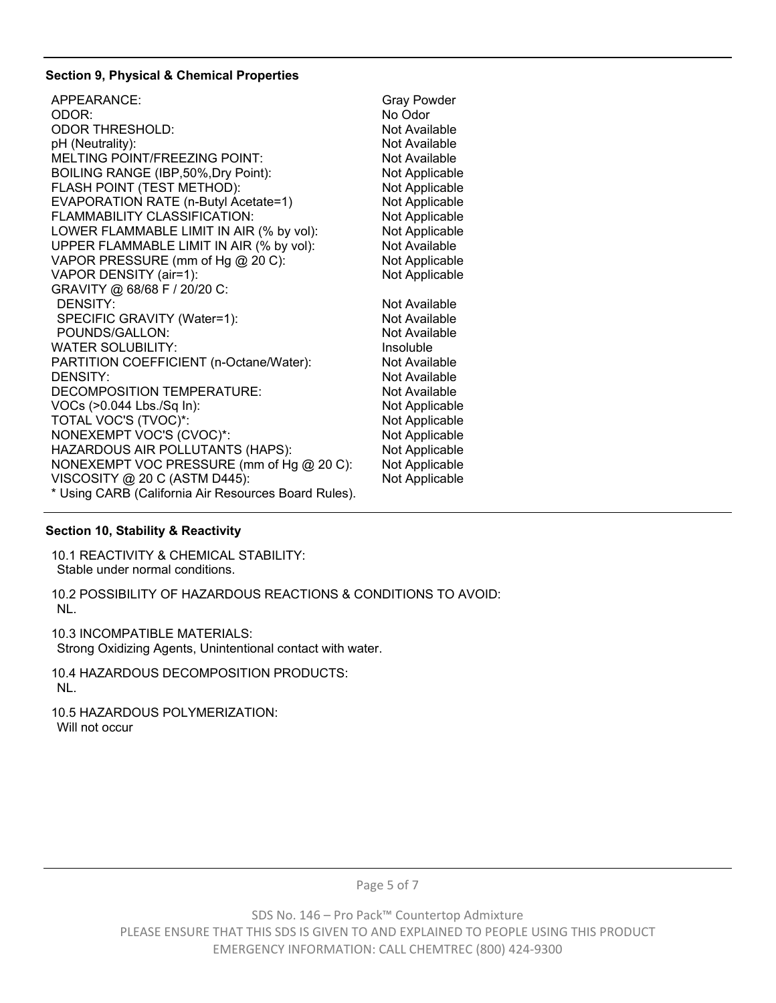### **Section 9, Physical & Chemical Properties**

| APPEARANCE:                                          | <b>Gray Powder</b> |
|------------------------------------------------------|--------------------|
| ODOR:                                                | No Odor            |
| <b>ODOR THRESHOLD:</b>                               | Not Available      |
| pH (Neutrality):                                     | Not Available      |
| MELTING POINT/FREEZING POINT:                        | Not Available      |
| BOILING RANGE (IBP,50%, Dry Point):                  | Not Applicable     |
| FLASH POINT (TEST METHOD):                           | Not Applicable     |
| EVAPORATION RATE (n-Butyl Acetate=1)                 | Not Applicable     |
| FLAMMABILITY CLASSIFICATION:                         | Not Applicable     |
| LOWER FLAMMABLE LIMIT IN AIR (% by vol):             | Not Applicable     |
| UPPER FLAMMABLE LIMIT IN AIR (% by vol):             | Not Available      |
| VAPOR PRESSURE (mm of Hg @ 20 C):                    | Not Applicable     |
| VAPOR DENSITY (air=1):                               | Not Applicable     |
| GRAVITY @ 68/68 F / 20/20 C:                         |                    |
| <b>DENSITY:</b>                                      | Not Available      |
| SPECIFIC GRAVITY (Water=1):                          | Not Available      |
| POUNDS/GALLON:                                       | Not Available      |
| <b>WATER SOLUBILITY:</b>                             | Insoluble          |
| PARTITION COEFFICIENT (n-Octane/Water):              | Not Available      |
| <b>DENSITY:</b>                                      | Not Available      |
| DECOMPOSITION TEMPERATURE:                           | Not Available      |
| VOCs (>0.044 Lbs./Sq In):                            | Not Applicable     |
| TOTAL VOC'S (TVOC)*:                                 | Not Applicable     |
| NONEXEMPT VOC'S (CVOC)*:                             | Not Applicable     |
| HAZARDOUS AIR POLLUTANTS (HAPS):                     | Not Applicable     |
| NONEXEMPT VOC PRESSURE (mm of Hg @ 20 C):            | Not Applicable     |
| VISCOSITY @ 20 C (ASTM D445):                        | Not Applicable     |
| * Using CARB (California Air Resources Board Rules). |                    |

# **Section 10, Stability & Reactivity**

10.1 REACTIVITY & CHEMICAL STABILITY: Stable under normal conditions.

10.2 POSSIBILITY OF HAZARDOUS REACTIONS & CONDITIONS TO AVOID: NL.

10.3 INCOMPATIBLE MATERIALS:

Strong Oxidizing Agents, Unintentional contact with water.

10.4 HAZARDOUS DECOMPOSITION PRODUCTS: NL.

10.5 HAZARDOUS POLYMERIZATION: Will not occur

Page 5 of 7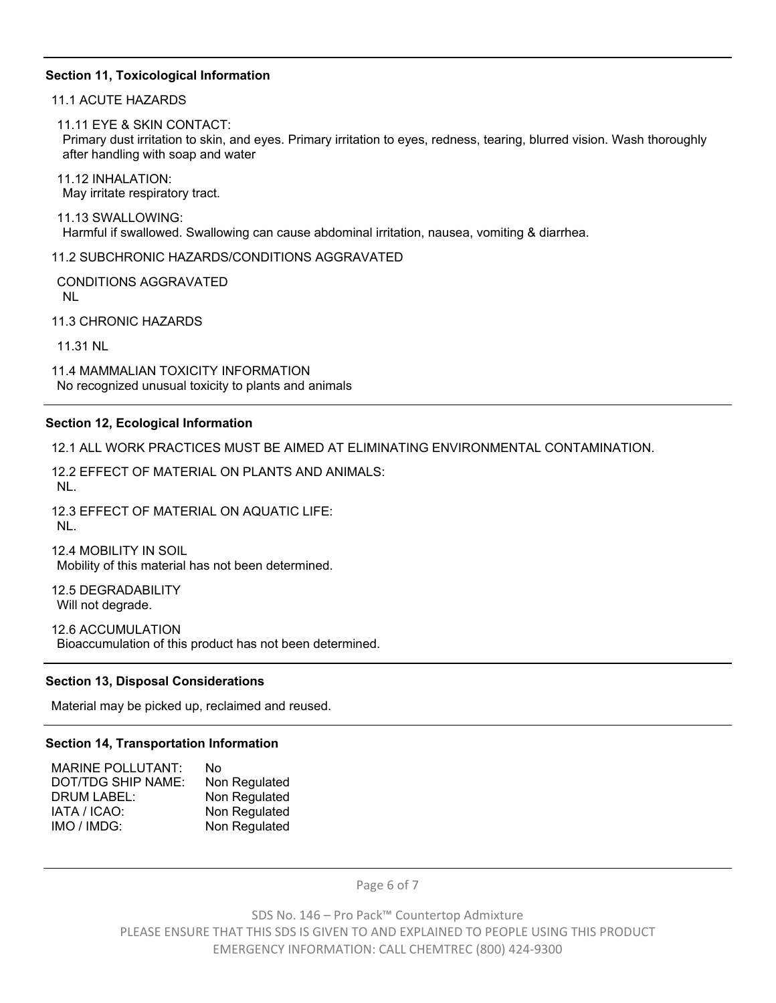#### **Section 11, Toxicological Information**

11.1 ACUTE HAZARDS

11.11 EYE & SKIN CONTACT:

Primary dust irritation to skin, and eyes. Primary irritation to eyes, redness, tearing, blurred vision. Wash thoroughly after handling with soap and water

11.12 INHALATION: May irritate respiratory tract.

11.13 SWALLOWING: Harmful if swallowed. Swallowing can cause abdominal irritation, nausea, vomiting & diarrhea.

11.2 SUBCHRONIC HAZARDS/CONDITIONS AGGRAVATED

CONDITIONS AGGRAVATED NL

11.3 CHRONIC HAZARDS

11.31 NL

11.4 MAMMALIAN TOXICITY INFORMATION No recognized unusual toxicity to plants and animals

#### **Section 12, Ecological Information**

12.1 ALL WORK PRACTICES MUST BE AIMED AT ELIMINATING ENVIRONMENTAL CONTAMINATION.

12.2 EFFECT OF MATERIAL ON PLANTS AND ANIMALS: NL.

12.3 EFFECT OF MATERIAL ON AQUATIC LIFE: NL.

12.4 MOBILITY IN SOIL Mobility of this material has not been determined.

12.5 DEGRADABILITY Will not degrade.

12.6 ACCUMULATION Bioaccumulation of this product has not been determined.

#### **Section 13, Disposal Considerations**

Material may be picked up, reclaimed and reused.

#### **Section 14, Transportation Information**

| MARINE POLLUTANT:  | No            |
|--------------------|---------------|
| DOT/TDG SHIP NAME: | Non Regulated |
| DRUM LABEL:        | Non Regulated |
| IATA / ICAO:       | Non Regulated |
| IMO / IMDG:        | Non Regulated |
|                    |               |

Page 6 of 7